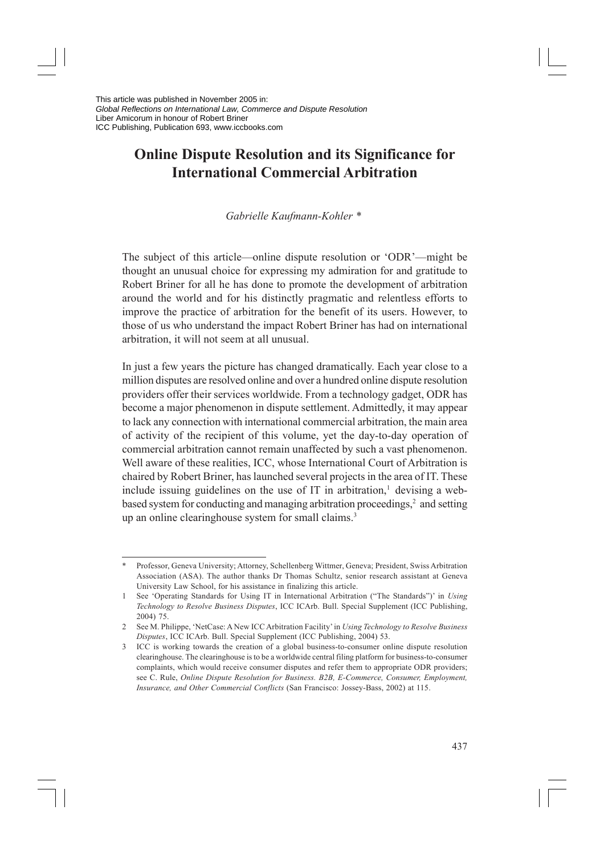# **Online Dispute Resolution and its Significance for International Commercial Arbitration**

*Gabrielle Kaufmann-Kohler \**

The subject of this article—online dispute resolution or 'ODR'—might be thought an unusual choice for expressing my admiration for and gratitude to Robert Briner for all he has done to promote the development of arbitration around the world and for his distinctly pragmatic and relentless efforts to improve the practice of arbitration for the benefit of its users. However, to those of us who understand the impact Robert Briner has had on international arbitration, it will not seem at all unusual.

In just a few years the picture has changed dramatically. Each year close to a million disputes are resolved online and over a hundred online dispute resolution providers offer their services worldwide. From a technology gadget, ODR has become a major phenomenon in dispute settlement. Admittedly, it may appear to lack any connection with international commercial arbitration, the main area of activity of the recipient of this volume, yet the day-to-day operation of commercial arbitration cannot remain unaffected by such a vast phenomenon. Well aware of these realities, ICC, whose International Court of Arbitration is chaired by Robert Briner, has launched several projects in the area of IT. These include issuing guidelines on the use of  $IT$  in arbitration,<sup>1</sup> devising a webbased system for conducting and managing arbitration proceedings, $2$  and setting up an online clearinghouse system for small claims.<sup>3</sup>

<sup>\*</sup> Professor, Geneva University; Attorney, Schellenberg Wittmer, Geneva; President, Swiss Arbitration Association (ASA). The author thanks Dr Thomas Schultz, senior research assistant at Geneva University Law School, for his assistance in finalizing this article.

<sup>1</sup> See 'Operating Standards for Using IT in International Arbitration ("The Standards")' in *Using Technology to Resolve Business Disputes*, ICC ICArb. Bull. Special Supplement (ICC Publishing, 2004) 75.

<sup>2</sup> See M. Philippe, 'NetCase: A New ICC Arbitration Facility' in *Using Technology to Resolve Business Disputes*, ICC ICArb. Bull. Special Supplement (ICC Publishing, 2004) 53.

<sup>3</sup> ICC is working towards the creation of a global business-to-consumer online dispute resolution clearinghouse. The clearinghouse is to be a worldwide central filing platform for business-to-consumer complaints, which would receive consumer disputes and refer them to appropriate ODR providers; see C. Rule, *Online Dispute Resolution for Business. B2B, E-Commerce, Consumer, Employment, Insurance, and Other Commercial Conflicts* (San Francisco: Jossey-Bass, 2002) at 115.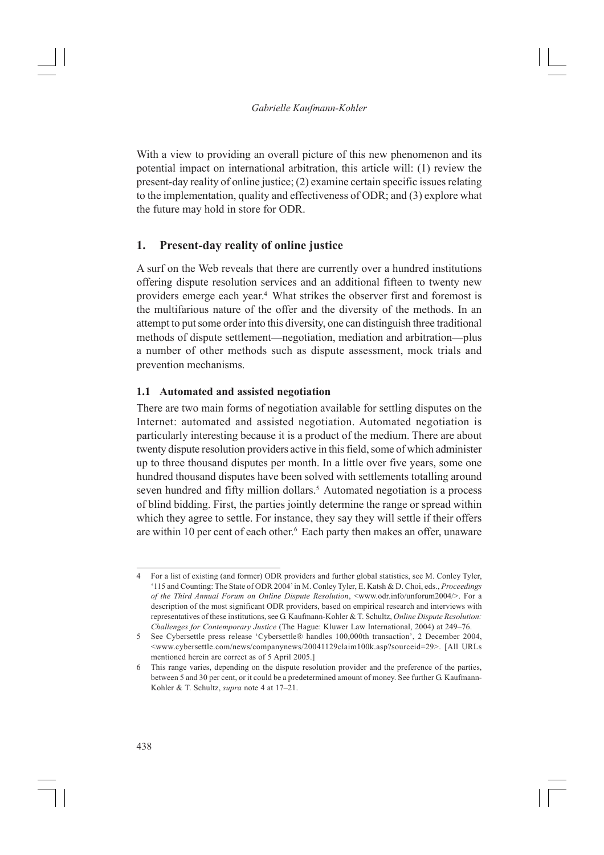With a view to providing an overall picture of this new phenomenon and its potential impact on international arbitration, this article will: (1) review the present-day reality of online justice; (2) examine certain specific issues relating to the implementation, quality and effectiveness of ODR; and (3) explore what the future may hold in store for ODR.

# **1. Present-day reality of online justice**

A surf on the Web reveals that there are currently over a hundred institutions offering dispute resolution services and an additional fifteen to twenty new providers emerge each year.4 What strikes the observer first and foremost is the multifarious nature of the offer and the diversity of the methods. In an attempt to put some order into this diversity, one can distinguish three traditional methods of dispute settlement—negotiation, mediation and arbitration—plus a number of other methods such as dispute assessment, mock trials and prevention mechanisms.

## **1.1 Automated and assisted negotiation**

There are two main forms of negotiation available for settling disputes on the Internet: automated and assisted negotiation. Automated negotiation is particularly interesting because it is a product of the medium. There are about twenty dispute resolution providers active in this field, some of which administer up to three thousand disputes per month. In a little over five years, some one hundred thousand disputes have been solved with settlements totalling around seven hundred and fifty million dollars.<sup>5</sup> Automated negotiation is a process of blind bidding. First, the parties jointly determine the range or spread within which they agree to settle. For instance, they say they will settle if their offers are within 10 per cent of each other.<sup>6</sup> Each party then makes an offer, unaware

<sup>4</sup> For a list of existing (and former) ODR providers and further global statistics, see M. Conley Tyler, '115 and Counting: The State of ODR 2004' in M. Conley Tyler, E. Katsh & D. Choi, eds., *Proceedings of the Third Annual Forum on Online Dispute Resolution*, <www.odr.info/unforum2004/>. For a description of the most significant ODR providers, based on empirical research and interviews with representatives of these institutions, see G. Kaufmann-Kohler & T. Schultz, *Online Dispute Resolution: Challenges for Contemporary Justice* (The Hague: Kluwer Law International, 2004) at 249–76.

<sup>5</sup> See Cybersettle press release 'Cybersettle® handles 100,000th transaction', 2 December 2004, <www.cybersettle.com/news/companynews/20041129claim100k.asp?sourceid=29>. [All URLs mentioned herein are correct as of 5 April 2005.]

<sup>6</sup> This range varies, depending on the dispute resolution provider and the preference of the parties, between 5 and 30 per cent, or it could be a predetermined amount of money. See further G. Kaufmann-Kohler & T. Schultz, *supra* note 4 at 17–21.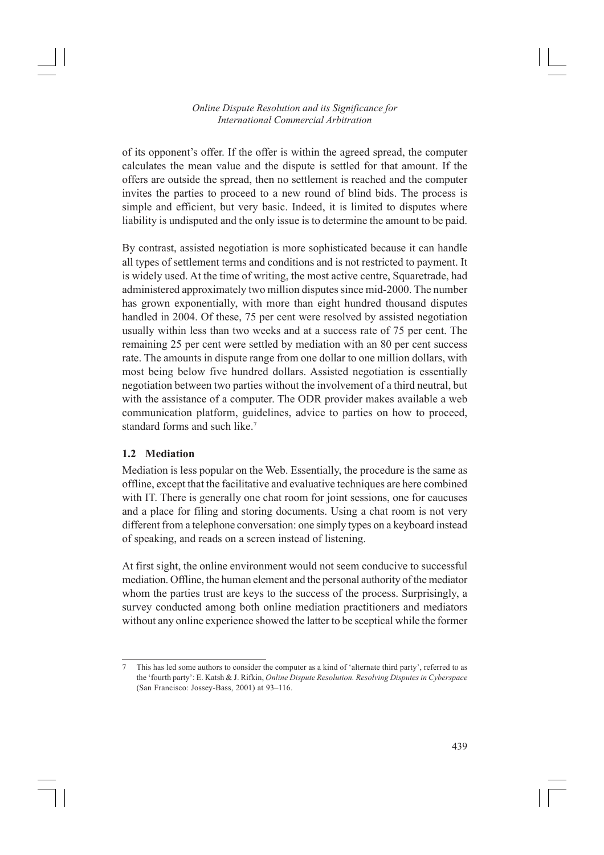of its opponent's offer. If the offer is within the agreed spread, the computer calculates the mean value and the dispute is settled for that amount. If the offers are outside the spread, then no settlement is reached and the computer invites the parties to proceed to a new round of blind bids. The process is simple and efficient, but very basic. Indeed, it is limited to disputes where liability is undisputed and the only issue is to determine the amount to be paid.

By contrast, assisted negotiation is more sophisticated because it can handle all types of settlement terms and conditions and is not restricted to payment. It is widely used. At the time of writing, the most active centre, Squaretrade, had administered approximately two million disputes since mid-2000. The number has grown exponentially, with more than eight hundred thousand disputes handled in 2004. Of these, 75 per cent were resolved by assisted negotiation usually within less than two weeks and at a success rate of 75 per cent. The remaining 25 per cent were settled by mediation with an 80 per cent success rate. The amounts in dispute range from one dollar to one million dollars, with most being below five hundred dollars. Assisted negotiation is essentially negotiation between two parties without the involvement of a third neutral, but with the assistance of a computer. The ODR provider makes available a web communication platform, guidelines, advice to parties on how to proceed, standard forms and such like.<sup>7</sup>

# **1.2 Mediation**

Mediation is less popular on the Web. Essentially, the procedure is the same as offline, except that the facilitative and evaluative techniques are here combined with IT. There is generally one chat room for joint sessions, one for caucuses and a place for filing and storing documents. Using a chat room is not very different from a telephone conversation: one simply types on a keyboard instead of speaking, and reads on a screen instead of listening.

At first sight, the online environment would not seem conducive to successful mediation. Offline, the human element and the personal authority of the mediator whom the parties trust are keys to the success of the process. Surprisingly, a survey conducted among both online mediation practitioners and mediators without any online experience showed the latter to be sceptical while the former

<sup>7</sup> This has led some authors to consider the computer as a kind of 'alternate third party', referred to as the 'fourth party': E. Katsh & J. Rifkin, *Online Dispute Resolution. Resolving Disputes in Cyberspace* (San Francisco: Jossey-Bass, 2001) at 93–116.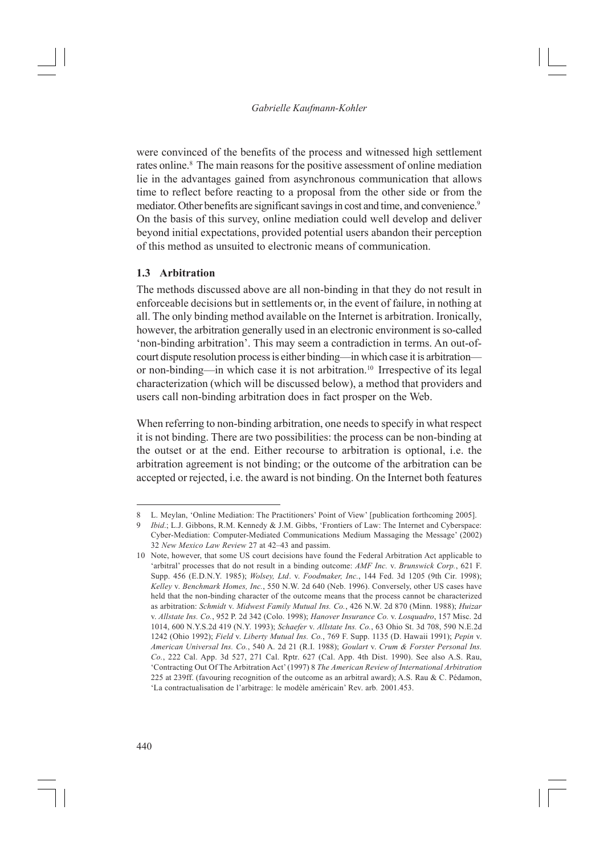were convinced of the benefits of the process and witnessed high settlement rates online.<sup>8</sup> The main reasons for the positive assessment of online mediation lie in the advantages gained from asynchronous communication that allows time to reflect before reacting to a proposal from the other side or from the mediator. Other benefits are significant savings in cost and time, and convenience.<sup>9</sup> On the basis of this survey, online mediation could well develop and deliver beyond initial expectations, provided potential users abandon their perception of this method as unsuited to electronic means of communication.

#### **1.3 Arbitration**

The methods discussed above are all non-binding in that they do not result in enforceable decisions but in settlements or, in the event of failure, in nothing at all. The only binding method available on the Internet is arbitration. Ironically, however, the arbitration generally used in an electronic environment is so-called 'non-binding arbitration'. This may seem a contradiction in terms. An out-ofcourt dispute resolution process is either binding—in which case it is arbitration or non-binding—in which case it is not arbitration.10 Irrespective of its legal characterization (which will be discussed below), a method that providers and users call non-binding arbitration does in fact prosper on the Web.

When referring to non-binding arbitration, one needs to specify in what respect it is not binding. There are two possibilities: the process can be non-binding at the outset or at the end. Either recourse to arbitration is optional, i.e. the arbitration agreement is not binding; or the outcome of the arbitration can be accepted or rejected, i.e. the award is not binding. On the Internet both features

<sup>8</sup> L. Meylan, 'Online Mediation: The Practitioners' Point of View' [publication forthcoming 2005].

<sup>9</sup> *Ibid*.; L.J. Gibbons, R.M. Kennedy & J.M. Gibbs, 'Frontiers of Law: The Internet and Cyberspace: Cyber-Mediation: Computer-Mediated Communications Medium Massaging the Message' (2002) 32 *New Mexico Law Review* 27 at 42–43 and passim.

<sup>10</sup> Note, however, that some US court decisions have found the Federal Arbitration Act applicable to 'arbitral' processes that do not result in a binding outcome: *AMF Inc.* v. *Brunswick Corp.*, 621 F. Supp. 456 (E.D.N.Y. 1985); *Wolsey, Ltd*. v. *Foodmaker, Inc.*, 144 Fed. 3d 1205 (9th Cir. 1998); *Kelley* v. *Benchmark Homes, Inc.*, 550 N.W. 2d 640 (Neb. 1996). Conversely, other US cases have held that the non-binding character of the outcome means that the process cannot be characterized as arbitration: *Schmidt* v. *Midwest Family Mutual Ins. Co.*, 426 N.W. 2d 870 (Minn. 1988); *Huizar* v. *Allstate Ins. Co.*, 952 P. 2d 342 (Colo. 1998); *Hanover Insurance Co.* v. *Losquadro*, 157 Misc. 2d 1014, 600 N.Y.S.2d 419 (N.Y. 1993); *Schaefer* v. *Allstate Ins. Co.*, 63 Ohio St. 3d 708, 590 N.E.2d 1242 (Ohio 1992); *Field* v. *Liberty Mutual Ins. Co.*, 769 F. Supp. 1135 (D. Hawaii 1991); *Pepin* v. *American Universal Ins. Co.*, 540 A. 2d 21 (R.I. 1988); *Goulart* v. *Crum & Forster Personal Ins. Co.*, 222 Cal. App. 3d 527, 271 Cal. Rptr. 627 (Cal. App. 4th Dist. 1990). See also A.S. Rau, 'Contracting Out Of The Arbitration Act' (1997) 8 *The American Review of International Arbitration* 225 at 239ff. (favouring recognition of the outcome as an arbitral award); A.S. Rau & C. Pédamon, 'La contractualisation de l'arbitrage: le modèle américain' Rev. arb*.* 2001.453.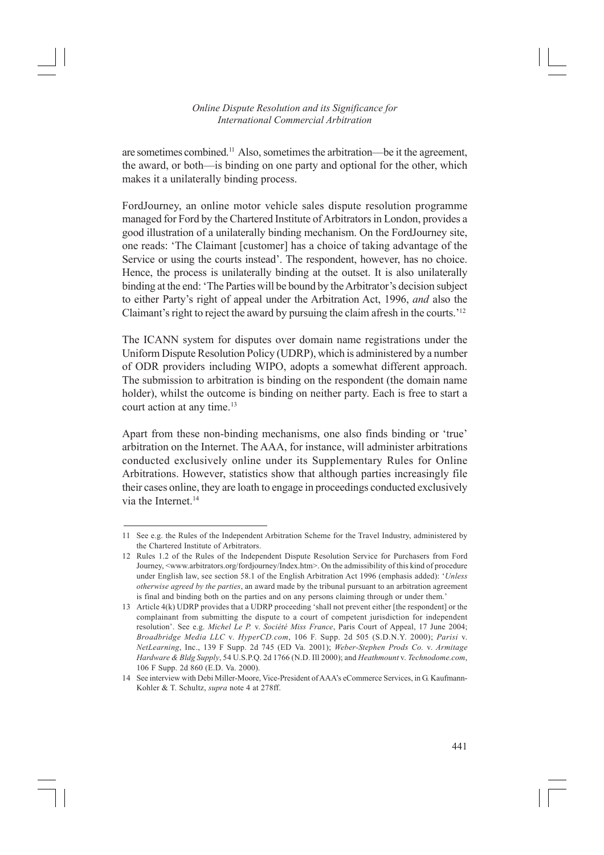#### *Online Dispute Resolution and its Significance for International Commercial Arbitration*

are sometimes combined.11 Also, sometimes the arbitration—be it the agreement, the award, or both—is binding on one party and optional for the other, which makes it a unilaterally binding process.

FordJourney, an online motor vehicle sales dispute resolution programme managed for Ford by the Chartered Institute of Arbitrators in London, provides a good illustration of a unilaterally binding mechanism. On the FordJourney site, one reads: 'The Claimant [customer] has a choice of taking advantage of the Service or using the courts instead'. The respondent, however, has no choice. Hence, the process is unilaterally binding at the outset. It is also unilaterally binding at the end: 'The Parties will be bound by the Arbitrator's decision subject to either Party's right of appeal under the Arbitration Act, 1996, *and* also the Claimant's right to reject the award by pursuing the claim afresh in the courts.'12

The ICANN system for disputes over domain name registrations under the Uniform Dispute Resolution Policy (UDRP), which is administered by a number of ODR providers including WIPO, adopts a somewhat different approach. The submission to arbitration is binding on the respondent (the domain name holder), whilst the outcome is binding on neither party. Each is free to start a court action at any time.13

Apart from these non-binding mechanisms, one also finds binding or 'true' arbitration on the Internet. The AAA, for instance, will administer arbitrations conducted exclusively online under its Supplementary Rules for Online Arbitrations. However, statistics show that although parties increasingly file their cases online, they are loath to engage in proceedings conducted exclusively via the Internet<sup>14</sup>

<sup>11</sup> See e.g. the Rules of the Independent Arbitration Scheme for the Travel Industry, administered by the Chartered Institute of Arbitrators.

<sup>12</sup> Rules 1.2 of the Rules of the Independent Dispute Resolution Service for Purchasers from Ford Journey, <www.arbitrators.org/fordjourney/Index.htm>. On the admissibility of this kind of procedure under English law, see section 58.1 of the English Arbitration Act 1996 (emphasis added): '*Unless otherwise agreed by the parties*, an award made by the tribunal pursuant to an arbitration agreement is final and binding both on the parties and on any persons claiming through or under them.'

<sup>13</sup> Article 4(k) UDRP provides that a UDRP proceeding 'shall not prevent either [the respondent] or the complainant from submitting the dispute to a court of competent jurisdiction for independent resolution'. See e.g. *Michel Le P.* v. *Société Miss France*, Paris Court of Appeal, 17 June 2004; *Broadbridge Media LLC* v. *HyperCD.com*, 106 F. Supp. 2d 505 (S.D.N.Y. 2000); *Parisi* v. *NetLearning*, Inc., 139 F Supp. 2d 745 (ED Va. 2001); *Weber-Stephen Prods Co.* v. *Armitage Hardware & Bldg Supply*, 54 U.S.P.Q. 2d 1766 (N.D. Ill 2000); and *Heathmount* v. *Technodome.com*, 106 F Supp. 2d 860 (E.D. Va. 2000).

<sup>14</sup> See interview with Debi Miller-Moore, Vice-President of AAA's eCommerce Services, in G. Kaufmann-Kohler & T. Schultz, *supra* note 4 at 278ff.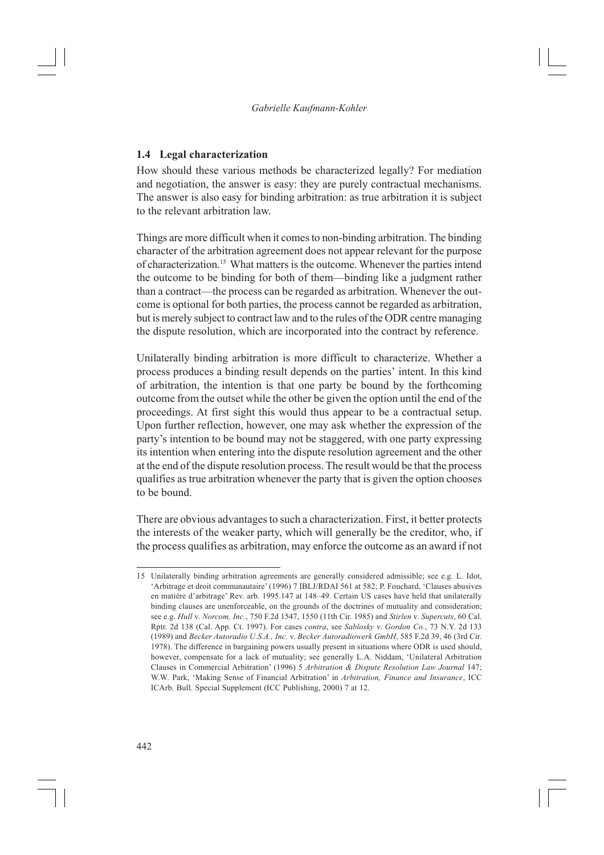### **1.4 Legal characterization**

How should these various methods be characterized legally? For mediation and negotiation, the answer is easy: they are purely contractual mechanisms. The answer is also easy for binding arbitration: as true arbitration it is subject to the relevant arbitration law.

Things are more difficult when it comes to non-binding arbitration. The binding character of the arbitration agreement does not appear relevant for the purpose of characterization.15 What matters is the outcome. Whenever the parties intend the outcome to be binding for both of them—binding like a judgment rather than a contract—the process can be regarded as arbitration. Whenever the outcome is optional for both parties, the process cannot be regarded as arbitration, but is merely subject to contract law and to the rules of the ODR centre managing the dispute resolution, which are incorporated into the contract by reference.

Unilaterally binding arbitration is more difficult to characterize. Whether a process produces a binding result depends on the parties' intent. In this kind of arbitration, the intention is that one party be bound by the forthcoming outcome from the outset while the other be given the option until the end of the proceedings. At first sight this would thus appear to be a contractual setup. Upon further reflection, however, one may ask whether the expression of the party's intention to be bound may not be staggered, with one party expressing its intention when entering into the dispute resolution agreement and the other at the end of the dispute resolution process. The result would be that the process qualifies as true arbitration whenever the party that is given the option chooses to be bound.

There are obvious advantages to such a characterization. First, it better protects the interests of the weaker party, which will generally be the creditor, who, if the process qualifies as arbitration, may enforce the outcome as an award if not

<sup>15</sup> Unilaterally binding arbitration agreements are generally considered admissible; see e.g. L. Idot, 'Arbitrage et droit communautaire' (1996) 7 IBLJ/RDAI 561 at 582; P. Fouchard, 'Clauses abusives en matière d'arbitrage' Rev. arb*.* 1995.147 at 148–49. Certain US cases have held that unilaterally binding clauses are unenforceable, on the grounds of the doctrines of mutuality and consideration; see e.g. *Hull* v. *Norcom, Inc.*, 750 F.2d 1547, 1550 (11th Cir. 1985) and *Stirlen* v. *Supercuts*, 60 Cal. Rptr. 2d 138 (Cal. App. Ct. 1997). For cases *contra*, see *Sablosky* v. *Gordon Co.*, 73 N.Y. 2d 133 (1989) and *Becker Autoradio U.S.A., Inc.* v. *Becker Autoradiowerk GmbH*, 585 F.2d 39, 46 (3rd Cir. 1978). The difference in bargaining powers usually present in situations where ODR is used should, however, compensate for a lack of mutuality; see generally L.A. Niddam, 'Unilateral Arbitration Clauses in Commercial Arbitration' (1996) 5 *Arbitration & Dispute Resolution Law Journal* 147; W.W. Park, 'Making Sense of Financial Arbitration' in *Arbitration, Finance and Insurance*, ICC ICArb. Bull. Special Supplement (ICC Publishing, 2000) 7 at 12.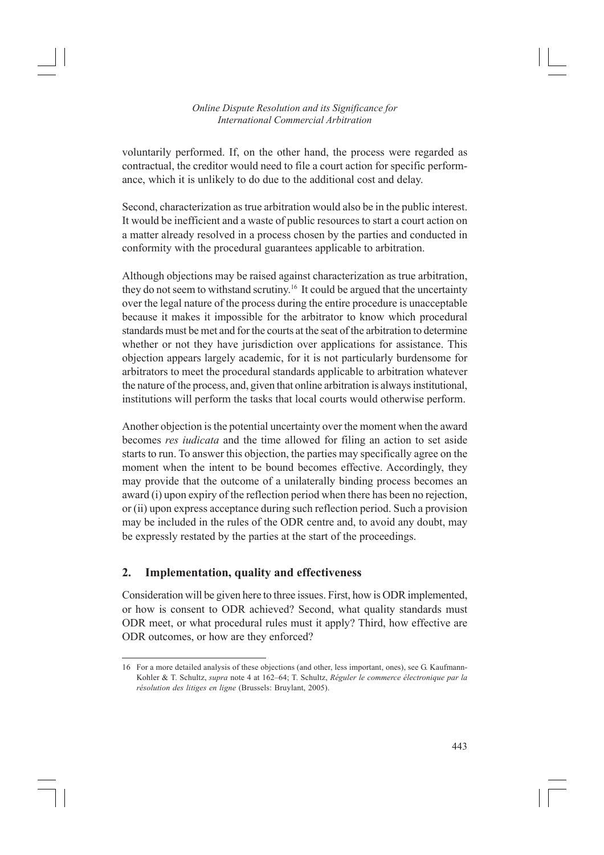voluntarily performed. If, on the other hand, the process were regarded as contractual, the creditor would need to file a court action for specific performance, which it is unlikely to do due to the additional cost and delay.

Second, characterization as true arbitration would also be in the public interest. It would be inefficient and a waste of public resources to start a court action on a matter already resolved in a process chosen by the parties and conducted in conformity with the procedural guarantees applicable to arbitration.

Although objections may be raised against characterization as true arbitration, they do not seem to withstand scrutiny.16 It could be argued that the uncertainty over the legal nature of the process during the entire procedure is unacceptable because it makes it impossible for the arbitrator to know which procedural standards must be met and for the courts at the seat of the arbitration to determine whether or not they have jurisdiction over applications for assistance. This objection appears largely academic, for it is not particularly burdensome for arbitrators to meet the procedural standards applicable to arbitration whatever the nature of the process, and, given that online arbitration is always institutional, institutions will perform the tasks that local courts would otherwise perform.

Another objection is the potential uncertainty over the moment when the award becomes *res iudicata* and the time allowed for filing an action to set aside starts to run. To answer this objection, the parties may specifically agree on the moment when the intent to be bound becomes effective. Accordingly, they may provide that the outcome of a unilaterally binding process becomes an award (i) upon expiry of the reflection period when there has been no rejection, or (ii) upon express acceptance during such reflection period. Such a provision may be included in the rules of the ODR centre and, to avoid any doubt, may be expressly restated by the parties at the start of the proceedings.

# **2. Implementation, quality and effectiveness**

Consideration will be given here to three issues. First, how is ODR implemented, or how is consent to ODR achieved? Second, what quality standards must ODR meet, or what procedural rules must it apply? Third, how effective are ODR outcomes, or how are they enforced?

<sup>16</sup> For a more detailed analysis of these objections (and other, less important, ones), see G. Kaufmann-Kohler & T. Schultz, *supra* note 4 at 162–64; T. Schultz, *Réguler le commerce électronique par la résolution des litiges en ligne* (Brussels: Bruylant, 2005).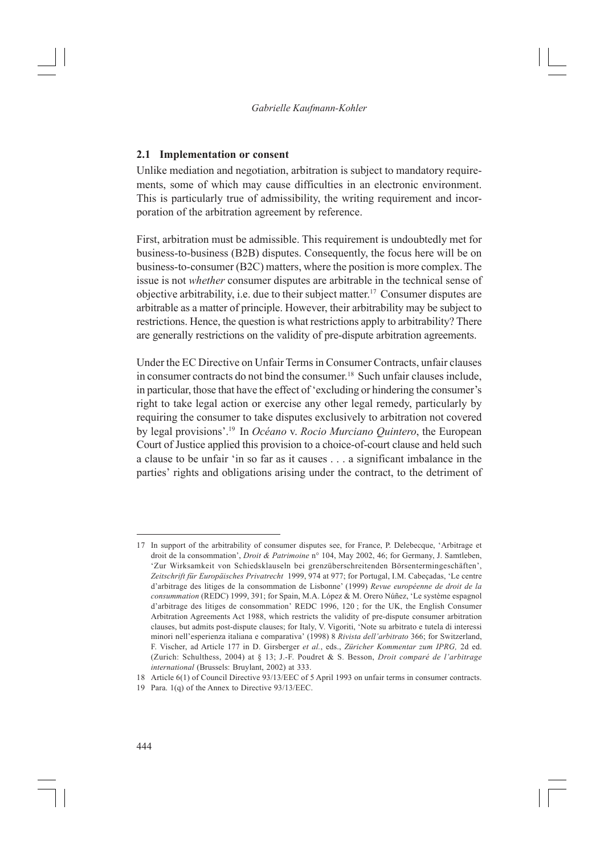#### **2.1 Implementation or consent**

Unlike mediation and negotiation, arbitration is subject to mandatory requirements, some of which may cause difficulties in an electronic environment. This is particularly true of admissibility, the writing requirement and incorporation of the arbitration agreement by reference.

First, arbitration must be admissible. This requirement is undoubtedly met for business-to-business (B2B) disputes. Consequently, the focus here will be on business-to-consumer (B2C) matters, where the position is more complex. The issue is not *whether* consumer disputes are arbitrable in the technical sense of objective arbitrability, i.e. due to their subject matter.17 Consumer disputes are arbitrable as a matter of principle. However, their arbitrability may be subject to restrictions. Hence, the question is what restrictions apply to arbitrability? There are generally restrictions on the validity of pre-dispute arbitration agreements.

Under the EC Directive on Unfair Terms in Consumer Contracts, unfair clauses in consumer contracts do not bind the consumer.<sup>18</sup> Such unfair clauses include, in particular, those that have the effect of 'excluding or hindering the consumer's right to take legal action or exercise any other legal remedy, particularly by requiring the consumer to take disputes exclusively to arbitration not covered by legal provisions'.19 In *Océano* v. *Rocio Murciano Quintero*, the European Court of Justice applied this provision to a choice-of-court clause and held such a clause to be unfair 'in so far as it causes . . . a significant imbalance in the parties' rights and obligations arising under the contract, to the detriment of

<sup>17</sup> In support of the arbitrability of consumer disputes see, for France, P. Delebecque, 'Arbitrage et droit de la consommation', *Droit & Patrimoine* n° 104, May 2002, 46; for Germany, J. Samtleben, 'Zur Wirksamkeit von Schiedsklauseln bei grenzüberschreitenden Börsentermingeschäften', *Zeitschrift für Europäisches Privatrecht* 1999, 974 at 977; for Portugal, I.M. Cabeçadas, 'Le centre d'arbitrage des litiges de la consommation de Lisbonne' (1999) *Revue européenne de droit de la consummation* (REDC) 1999, 391; for Spain, M.A. López & M. Orero Núñez, 'Le système espagnol d'arbitrage des litiges de consommation' REDC 1996, 120 ; for the UK, the English Consumer Arbitration Agreements Act 1988, which restricts the validity of pre-dispute consumer arbitration clauses, but admits post-dispute clauses; for Italy, V. Vigoriti, 'Note su arbitrato e tutela di interessi minori nell'esperienza italiana e comparativa' (1998) 8 *Rivista dell'arbitrato* 366; for Switzerland, F. Vischer, ad Article 177 in D. Girsberger *et al.*, eds., *Züricher Kommentar zum IPRG,* 2d ed. (Zurich: Schulthess, 2004) at § 13; J.-F. Poudret & S. Besson, *Droit comparé de l'arbitrage international* (Brussels: Bruylant, 2002) at 333.

<sup>18</sup> Article 6(1) of Council Directive 93/13/EEC of 5 April 1993 on unfair terms in consumer contracts.

<sup>19</sup> Para. 1(q) of the Annex to Directive 93/13/EEC.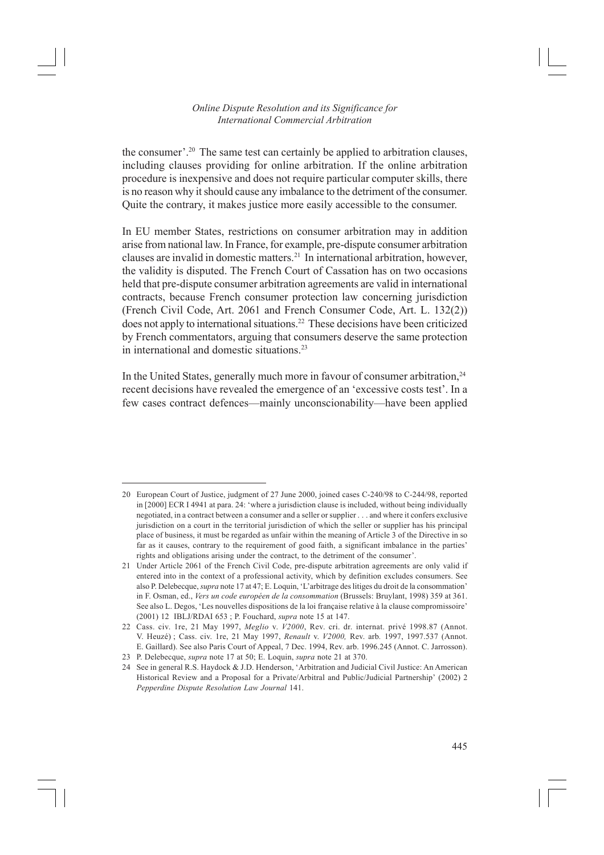the consumer'.20 The same test can certainly be applied to arbitration clauses, including clauses providing for online arbitration. If the online arbitration procedure is inexpensive and does not require particular computer skills, there is no reason why it should cause any imbalance to the detriment of the consumer. Quite the contrary, it makes justice more easily accessible to the consumer.

In EU member States, restrictions on consumer arbitration may in addition arise from national law. In France, for example, pre-dispute consumer arbitration clauses are invalid in domestic matters.21 In international arbitration, however, the validity is disputed. The French Court of Cassation has on two occasions held that pre-dispute consumer arbitration agreements are valid in international contracts, because French consumer protection law concerning jurisdiction (French Civil Code, Art. 2061 and French Consumer Code, Art. L. 132(2)) does not apply to international situations.22 These decisions have been criticized by French commentators, arguing that consumers deserve the same protection in international and domestic situations.<sup>23</sup>

In the United States, generally much more in favour of consumer arbitration,  $24$ recent decisions have revealed the emergence of an 'excessive costs test'. In a few cases contract defences—mainly unconscionability—have been applied

<sup>20</sup> European Court of Justice, judgment of 27 June 2000, joined cases C-240/98 to C-244/98, reported in [2000] ECR I 4941 at para. 24: 'where a jurisdiction clause is included, without being individually negotiated, in a contract between a consumer and a seller or supplier . . . and where it confers exclusive jurisdiction on a court in the territorial jurisdiction of which the seller or supplier has his principal place of business, it must be regarded as unfair within the meaning of Article 3 of the Directive in so far as it causes, contrary to the requirement of good faith, a significant imbalance in the parties' rights and obligations arising under the contract, to the detriment of the consumer'.

<sup>21</sup> Under Article 2061 of the French Civil Code, pre-dispute arbitration agreements are only valid if entered into in the context of a professional activity, which by definition excludes consumers. See also P. Delebecque, *supra* note 17 at 47; E. Loquin, 'L'arbitrage des litiges du droit de la consommation' in F. Osman, ed., *Vers un code européen de la consommation* (Brussels: Bruylant, 1998) 359 at 361. See also L. Degos, 'Les nouvelles dispositions de la loi française relative à la clause compromissoire' (2001) 12 IBLJ/RDAI 653 ; P. Fouchard, *supra* note 15 at 147.

<sup>22</sup> Cass. civ. 1re, 21 May 1997, *Meglio* v. *V2000*, Rev. cri. dr. internat. privé 1998.87 (Annot. V. Heuzé) ; Cass. civ. 1re, 21 May 1997, *Renault* v. *V2000,* Rev. arb*.* 1997, 1997.537 (Annot. E. Gaillard). See also Paris Court of Appeal, 7 Dec. 1994, Rev. arb. 1996.245 (Annot. C. Jarrosson).

<sup>23</sup> P. Delebecque, *supra* note 17 at 50; E. Loquin, *supra* note 21 at 370.

<sup>24</sup> See in general R.S. Haydock & J.D. Henderson, 'Arbitration and Judicial Civil Justice: An American Historical Review and a Proposal for a Private/Arbitral and Public/Judicial Partnership' (2002) 2 *Pepperdine Dispute Resolution Law Journal* 141.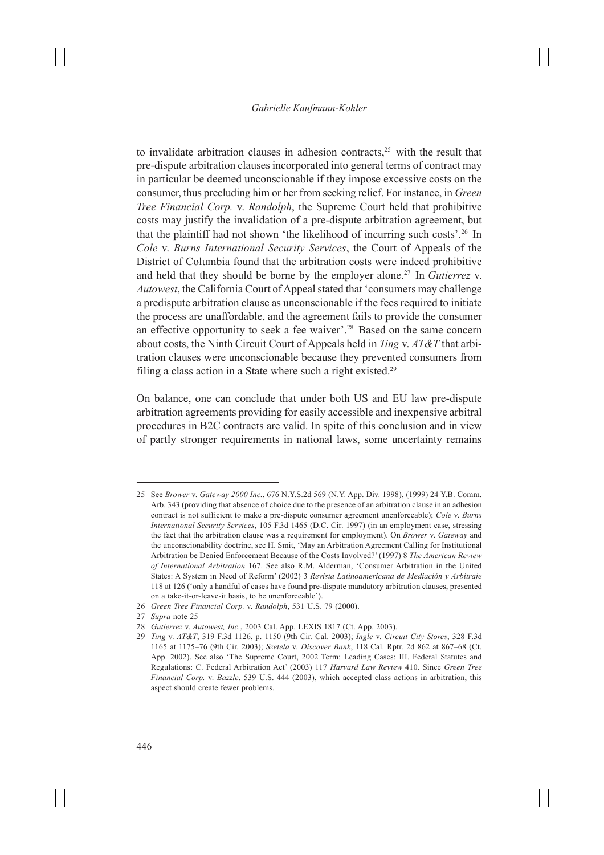to invalidate arbitration clauses in adhesion contracts,<sup>25</sup> with the result that pre-dispute arbitration clauses incorporated into general terms of contract may in particular be deemed unconscionable if they impose excessive costs on the consumer, thus precluding him or her from seeking relief. For instance, in *Green Tree Financial Corp.* v. *Randolph*, the Supreme Court held that prohibitive costs may justify the invalidation of a pre-dispute arbitration agreement, but that the plaintiff had not shown 'the likelihood of incurring such costs'.26 In *Cole* v. *Burns International Security Services*, the Court of Appeals of the District of Columbia found that the arbitration costs were indeed prohibitive and held that they should be borne by the employer alone.27 In *Gutierrez* v. *Autowest*, the California Court of Appeal stated that 'consumers may challenge a predispute arbitration clause as unconscionable if the fees required to initiate the process are unaffordable, and the agreement fails to provide the consumer an effective opportunity to seek a fee waiver'.28 Based on the same concern about costs, the Ninth Circuit Court of Appeals held in *Ting* v. *AT&T* that arbitration clauses were unconscionable because they prevented consumers from filing a class action in a State where such a right existed.<sup>29</sup>

On balance, one can conclude that under both US and EU law pre-dispute arbitration agreements providing for easily accessible and inexpensive arbitral procedures in B2C contracts are valid. In spite of this conclusion and in view of partly stronger requirements in national laws, some uncertainty remains

<sup>25</sup> See *Brower* v. *Gateway 2000 Inc.*, 676 N.Y.S.2d 569 (N.Y. App. Div. 1998), (1999) 24 Y.B. Comm. Arb. 343 (providing that absence of choice due to the presence of an arbitration clause in an adhesion contract is not sufficient to make a pre-dispute consumer agreement unenforceable); *Cole* v. *Burns International Security Services*, 105 F.3d 1465 (D.C. Cir. 1997) (in an employment case, stressing the fact that the arbitration clause was a requirement for employment). On *Brower* v. *Gateway* and the unconscionability doctrine, see H. Smit, 'May an Arbitration Agreement Calling for Institutional Arbitration be Denied Enforcement Because of the Costs Involved?' (1997) 8 *The American Review of International Arbitration* 167. See also R.M. Alderman, 'Consumer Arbitration in the United States: A System in Need of Reform' (2002) 3 *Revista Latinoamericana de Mediación y Arbitraje* 118 at 126 ('only a handful of cases have found pre-dispute mandatory arbitration clauses, presented on a take-it-or-leave-it basis, to be unenforceable').

<sup>26</sup> *Green Tree Financial Corp.* v. *Randolph*, 531 U.S. 79 (2000).

<sup>27</sup> *Supra* note 25

<sup>28</sup> *Gutierrez* v. *Autowest, Inc.*, 2003 Cal. App. LEXIS 1817 (Ct. App. 2003).

<sup>29</sup> *Ting* v. *AT&T*, 319 F.3d 1126, p. 1150 (9th Cir. Cal. 2003); *Ingle* v. *Circuit City Stores*, 328 F.3d 1165 at 1175–76 (9th Cir. 2003); *Szetela* v. *Discover Bank*, 118 Cal. Rptr. 2d 862 at 867–68 (Ct. App. 2002). See also 'The Supreme Court, 2002 Term: Leading Cases: III. Federal Statutes and Regulations: C. Federal Arbitration Act' (2003) 117 *Harvard Law Review* 410. Since *Green Tree Financial Corp.* v. *Bazzle*, 539 U.S. 444 (2003), which accepted class actions in arbitration, this aspect should create fewer problems.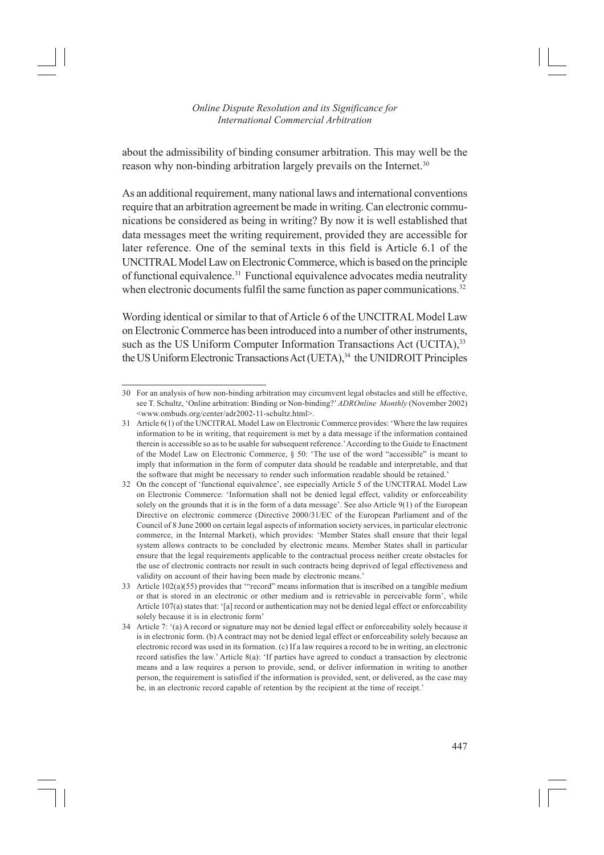about the admissibility of binding consumer arbitration. This may well be the reason why non-binding arbitration largely prevails on the Internet.<sup>30</sup>

As an additional requirement, many national laws and international conventions require that an arbitration agreement be made in writing. Can electronic communications be considered as being in writing? By now it is well established that data messages meet the writing requirement, provided they are accessible for later reference. One of the seminal texts in this field is Article 6.1 of the UNCITRAL Model Law on Electronic Commerce, which is based on the principle of functional equivalence.31 Functional equivalence advocates media neutrality when electronic documents fulfil the same function as paper communications.<sup>32</sup>

Wording identical or similar to that of Article 6 of the UNCITRAL Model Law on Electronic Commerce has been introduced into a number of other instruments, such as the US Uniform Computer Information Transactions Act (UCITA),<sup>33</sup> the US Uniform Electronic Transactions Act (UETA),<sup>34</sup> the UNIDROIT Principles

<sup>30</sup> For an analysis of how non-binding arbitration may circumvent legal obstacles and still be effective, see T. Schultz, 'Online arbitration: Binding or Non-binding?' *ADROnline Monthly* (November 2002) <www.ombuds.org/center/adr2002-11-schultz.html>.

<sup>31</sup> Article 6(1) of the UNCITRAL Model Law on Electronic Commerce provides: 'Where the law requires information to be in writing, that requirement is met by a data message if the information contained therein is accessible so as to be usable for subsequent reference.' According to the Guide to Enactment of the Model Law on Electronic Commerce, § 50: 'The use of the word "accessible" is meant to imply that information in the form of computer data should be readable and interpretable, and that the software that might be necessary to render such information readable should be retained.'

<sup>32</sup> On the concept of 'functional equivalence', see especially Article 5 of the UNCITRAL Model Law on Electronic Commerce: 'Information shall not be denied legal effect, validity or enforceability solely on the grounds that it is in the form of a data message'. See also Article 9(1) of the European Directive on electronic commerce (Directive 2000/31/EC of the European Parliament and of the Council of 8 June 2000 on certain legal aspects of information society services, in particular electronic commerce, in the Internal Market), which provides: 'Member States shall ensure that their legal system allows contracts to be concluded by electronic means. Member States shall in particular ensure that the legal requirements applicable to the contractual process neither create obstacles for the use of electronic contracts nor result in such contracts being deprived of legal effectiveness and validity on account of their having been made by electronic means.'

<sup>33</sup> Article 102(a)(55) provides that '"record" means information that is inscribed on a tangible medium or that is stored in an electronic or other medium and is retrievable in perceivable form', while Article 107(a) states that: '[a] record or authentication may not be denied legal effect or enforceability solely because it is in electronic form'

<sup>34</sup> Article 7: '(a) A record or signature may not be denied legal effect or enforceability solely because it is in electronic form. (b) A contract may not be denied legal effect or enforceability solely because an electronic record was used in its formation. (c) If a law requires a record to be in writing, an electronic record satisfies the law.' Article 8(a): 'If parties have agreed to conduct a transaction by electronic means and a law requires a person to provide, send, or deliver information in writing to another person, the requirement is satisfied if the information is provided, sent, or delivered, as the case may be, in an electronic record capable of retention by the recipient at the time of receipt.'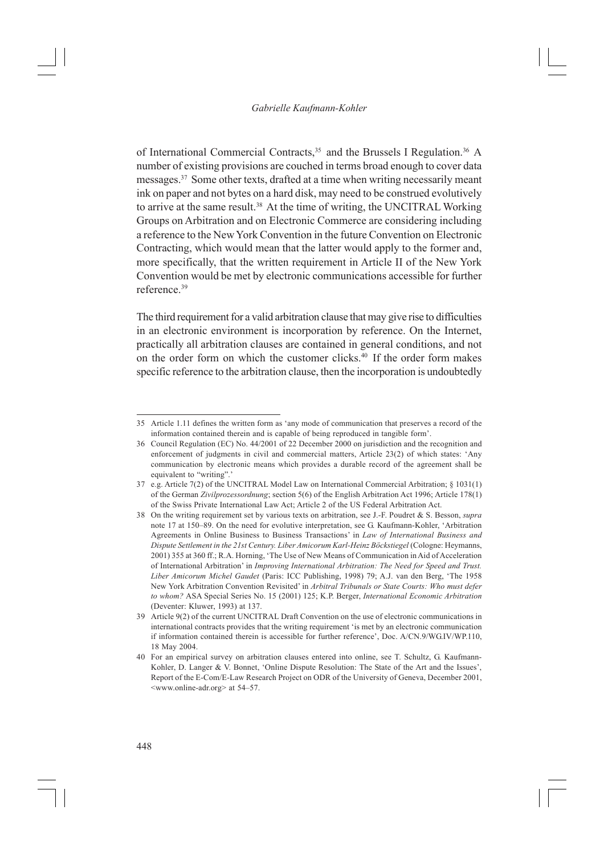of International Commercial Contracts,<sup>35</sup> and the Brussels I Regulation.<sup>36</sup> A number of existing provisions are couched in terms broad enough to cover data messages.37 Some other texts, drafted at a time when writing necessarily meant ink on paper and not bytes on a hard disk, may need to be construed evolutively to arrive at the same result.<sup>38</sup> At the time of writing, the UNCITRAL Working Groups on Arbitration and on Electronic Commerce are considering including a reference to the New York Convention in the future Convention on Electronic Contracting, which would mean that the latter would apply to the former and, more specifically, that the written requirement in Article II of the New York Convention would be met by electronic communications accessible for further reference.39

The third requirement for a valid arbitration clause that may give rise to difficulties in an electronic environment is incorporation by reference. On the Internet, practically all arbitration clauses are contained in general conditions, and not on the order form on which the customer clicks.<sup>40</sup> If the order form makes specific reference to the arbitration clause, then the incorporation is undoubtedly

<sup>35</sup> Article 1.11 defines the written form as 'any mode of communication that preserves a record of the information contained therein and is capable of being reproduced in tangible form'.

<sup>36</sup> Council Regulation (EC) No. 44/2001 of 22 December 2000 on jurisdiction and the recognition and enforcement of judgments in civil and commercial matters, Article 23(2) of which states: 'Any communication by electronic means which provides a durable record of the agreement shall be equivalent to "writing".'

<sup>37</sup> e.g. Article 7(2) of the UNCITRAL Model Law on International Commercial Arbitration; § 1031(1) of the German *Zivilprozessordnung*; section 5(6) of the English Arbitration Act 1996; Article 178(1) of the Swiss Private International Law Act; Article 2 of the US Federal Arbitration Act.

<sup>38</sup> On the writing requirement set by various texts on arbitration, see J.-F. Poudret & S. Besson, *supra* note 17 at 150–89. On the need for evolutive interpretation, see G. Kaufmann-Kohler, 'Arbitration Agreements in Online Business to Business Transactions' in *Law of International Business and Dispute Settlement in the 21st Century. Liber Amicorum Karl-Heinz Böckstiegel* (Cologne: Heymanns, 2001) 355 at 360 ff.; R.A. Horning, 'The Use of New Means of Communication in Aid of Acceleration of International Arbitration' in *Improving International Arbitration: The Need for Speed and Trust. Liber Amicorum Michel Gaudet* (Paris: ICC Publishing, 1998) 79; A.J. van den Berg, 'The 1958 New York Arbitration Convention Revisited' in *Arbitral Tribunals or State Courts: Who must defer to whom?* ASA Special Series No. 15 (2001) 125; K.P. Berger, *International Economic Arbitration* (Deventer: Kluwer, 1993) at 137.

<sup>39</sup> Article 9(2) of the current UNCITRAL Draft Convention on the use of electronic communications in international contracts provides that the writing requirement 'is met by an electronic communication if information contained therein is accessible for further reference', Doc. A/CN.9/WG.IV/WP.110, 18 May 2004.

<sup>40</sup> For an empirical survey on arbitration clauses entered into online, see T. Schultz, G. Kaufmann-Kohler, D. Langer & V. Bonnet, 'Online Dispute Resolution: The State of the Art and the Issues', Report of the E-Com/E-Law Research Project on ODR of the University of Geneva, December 2001, <www.online-adr.org> at 54–57.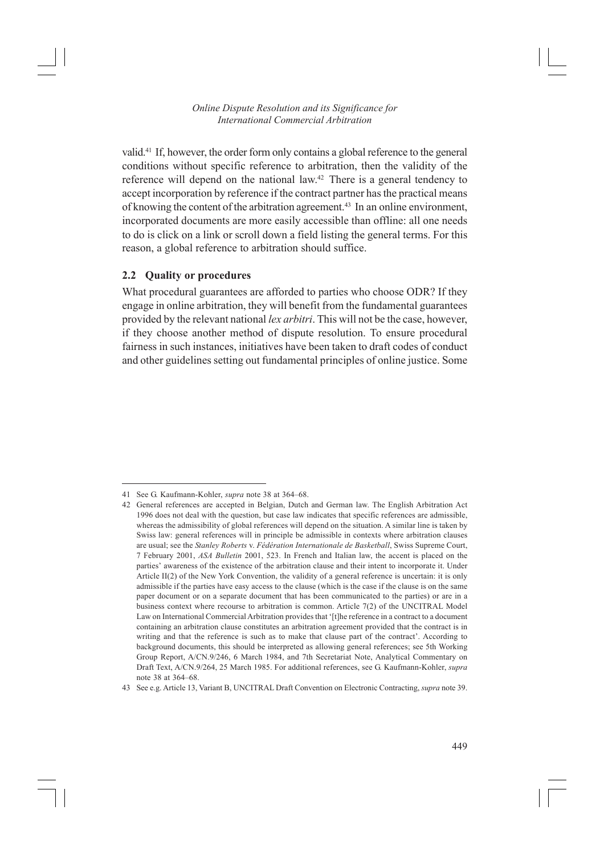valid.41 If, however, the order form only contains a global reference to the general conditions without specific reference to arbitration, then the validity of the reference will depend on the national law.<sup>42</sup> There is a general tendency to accept incorporation by reference if the contract partner has the practical means of knowing the content of the arbitration agreement.<sup>43</sup> In an online environment, incorporated documents are more easily accessible than offline: all one needs to do is click on a link or scroll down a field listing the general terms. For this reason, a global reference to arbitration should suffice.

#### **2.2 Quality or procedures**

What procedural guarantees are afforded to parties who choose ODR? If they engage in online arbitration, they will benefit from the fundamental guarantees provided by the relevant national *lex arbitri*. This will not be the case, however, if they choose another method of dispute resolution. To ensure procedural fairness in such instances, initiatives have been taken to draft codes of conduct and other guidelines setting out fundamental principles of online justice. Some

<sup>41</sup> See G. Kaufmann-Kohler, *supra* note 38 at 364–68.

<sup>42</sup> General references are accepted in Belgian, Dutch and German law. The English Arbitration Act 1996 does not deal with the question, but case law indicates that specific references are admissible, whereas the admissibility of global references will depend on the situation. A similar line is taken by Swiss law: general references will in principle be admissible in contexts where arbitration clauses are usual; see the *Stanley Roberts* v. *Fédération Internationale de Basketball*, Swiss Supreme Court, 7 February 2001, *ASA Bulletin* 2001, 523. In French and Italian law, the accent is placed on the parties' awareness of the existence of the arbitration clause and their intent to incorporate it. Under Article II(2) of the New York Convention, the validity of a general reference is uncertain: it is only admissible if the parties have easy access to the clause (which is the case if the clause is on the same paper document or on a separate document that has been communicated to the parties) or are in a business context where recourse to arbitration is common. Article 7(2) of the UNCITRAL Model Law on International Commercial Arbitration provides that '[t]he reference in a contract to a document containing an arbitration clause constitutes an arbitration agreement provided that the contract is in writing and that the reference is such as to make that clause part of the contract'. According to background documents, this should be interpreted as allowing general references; see 5th Working Group Report, A/CN.9/246, 6 March 1984, and 7th Secretariat Note, Analytical Commentary on Draft Text, A/CN.9/264, 25 March 1985. For additional references, see G. Kaufmann-Kohler, *supra* note 38 at 364–68.

<sup>43</sup> See e.g. Article 13, Variant B, UNCITRAL Draft Convention on Electronic Contracting, *supra* note 39.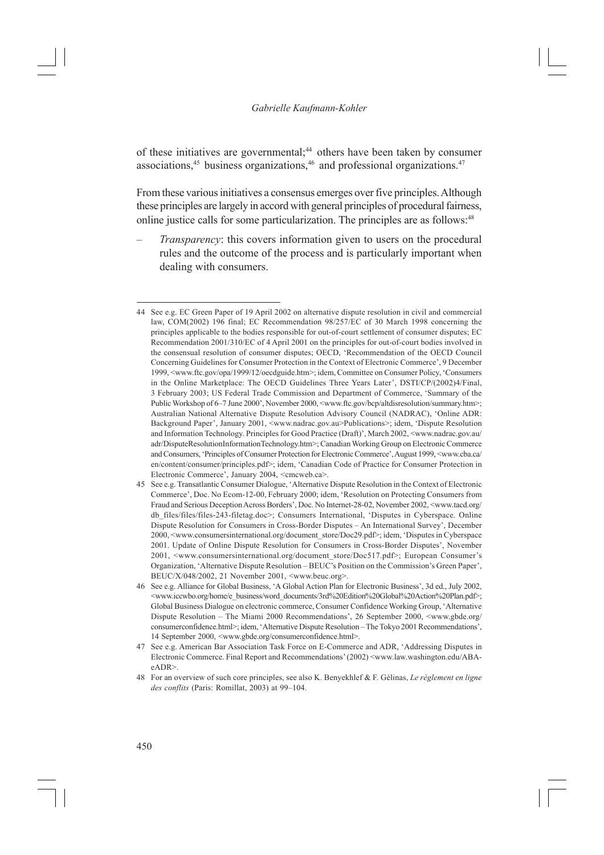of these initiatives are governmental;<sup>44</sup> others have been taken by consumer associations, $45$  business organizations, $46$  and professional organizations. $47$ 

From these various initiatives a consensus emerges over five principles. Although these principles are largely in accord with general principles of procedural fairness, online justice calls for some particularization. The principles are as follows:<sup>48</sup>

*Transparency*: this covers information given to users on the procedural rules and the outcome of the process and is particularly important when dealing with consumers.

<sup>44</sup> See e.g. EC Green Paper of 19 April 2002 on alternative dispute resolution in civil and commercial law, COM(2002) 196 final; EC Recommendation 98/257/EC of 30 March 1998 concerning the principles applicable to the bodies responsible for out-of-court settlement of consumer disputes; EC Recommendation 2001/310/EC of 4 April 2001 on the principles for out-of-court bodies involved in the consensual resolution of consumer disputes; OECD, 'Recommendation of the OECD Council Concerning Guidelines for Consumer Protection in the Context of Electronic Commerce', 9 December 1999, <www.ftc.gov/opa/1999/12/oecdguide.htm>; idem, Committee on Consumer Policy, 'Consumers in the Online Marketplace: The OECD Guidelines Three Years Later', DSTI/CP/(2002)4/Final, 3 February 2003; US Federal Trade Commission and Department of Commerce, 'Summary of the Public Workshop of 6–7 June 2000', November 2000, <www.ftc.gov/bcp/altdisresolution/summary.htm>; Australian National Alternative Dispute Resolution Advisory Council (NADRAC), 'Online ADR: Background Paper', January 2001, <www.nadrac.gov.au>Publications>; idem, 'Dispute Resolution and Information Technology. Principles for Good Practice (Draft)', March 2002, <www.nadrac.gov.au/ adr/DisputeResolutionInformationTechnology.htm>; Canadian Working Group on Electronic Commerce and Consumers, 'Principles of Consumer Protection for Electronic Commerce', August 1999, <www.cba.ca/ en/content/consumer/principles.pdf>; idem, 'Canadian Code of Practice for Consumer Protection in Electronic Commerce', January 2004, <cmcweb.ca>.

<sup>45</sup> See e.g. Transatlantic Consumer Dialogue, 'Alternative Dispute Resolution in the Context of Electronic Commerce', Doc. No Ecom-12-00, February 2000; idem, 'Resolution on Protecting Consumers from Fraud and Serious Deception Across Borders', Doc. No Internet-28-02, November 2002, <www.tacd.org/ db\_files/files-243-filetag.doc>; Consumers International, 'Disputes in Cyberspace. Online Dispute Resolution for Consumers in Cross-Border Disputes – An International Survey', December 2000, <www.consumersinternational.org/document\_store/Doc29.pdf>; idem, 'Disputes in Cyberspace 2001. Update of Online Dispute Resolution for Consumers in Cross-Border Disputes', November 2001, <www.consumersinternational.org/document\_store/Doc517.pdf>; European Consumer's Organization, 'Alternative Dispute Resolution – BEUC's Position on the Commission's Green Paper', BEUC/X/048/2002, 21 November 2001, <www.beuc.org>.

<sup>46</sup> See e.g. Alliance for Global Business, 'A Global Action Plan for Electronic Business', 3d ed., July 2002, <www.iccwbo.org/home/e\_business/word\_documents/3rd%20Edition%20Global%20Action%20Plan.pdf>; Global Business Dialogue on electronic commerce, Consumer Confidence Working Group, 'Alternative Dispute Resolution – The Miami 2000 Recommendations', 26 September 2000, <www.gbde.org/ consumerconfidence.html>; idem, 'Alternative Dispute Resolution – The Tokyo 2001 Recommendations', 14 September 2000, <www.gbde.org/consumerconfidence.html>.

<sup>47</sup> See e.g. American Bar Association Task Force on E-Commerce and ADR, 'Addressing Disputes in Electronic Commerce. Final Report and Recommendations' (2002) <www.law.washington.edu/ABAeADR>.

<sup>48</sup> For an overview of such core principles, see also K. Benyekhlef & F. Gélinas, *Le règlement en ligne des conflits* (Paris: Romillat, 2003) at 99–104.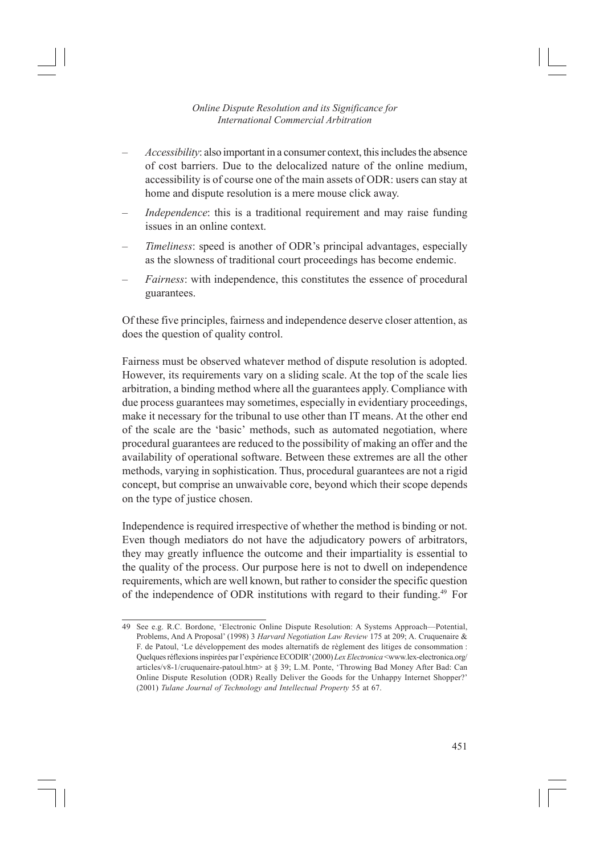- *Accessibility*: also important in a consumer context, this includes the absence of cost barriers. Due to the delocalized nature of the online medium, accessibility is of course one of the main assets of ODR: users can stay at home and dispute resolution is a mere mouse click away.
- *Independence*: this is a traditional requirement and may raise funding issues in an online context.
- *Timeliness*: speed is another of ODR's principal advantages, especially as the slowness of traditional court proceedings has become endemic.
- *Fairness*: with independence, this constitutes the essence of procedural guarantees.

Of these five principles, fairness and independence deserve closer attention, as does the question of quality control.

Fairness must be observed whatever method of dispute resolution is adopted. However, its requirements vary on a sliding scale. At the top of the scale lies arbitration, a binding method where all the guarantees apply. Compliance with due process guarantees may sometimes, especially in evidentiary proceedings, make it necessary for the tribunal to use other than IT means. At the other end of the scale are the 'basic' methods, such as automated negotiation, where procedural guarantees are reduced to the possibility of making an offer and the availability of operational software. Between these extremes are all the other methods, varying in sophistication. Thus, procedural guarantees are not a rigid concept, but comprise an unwaivable core, beyond which their scope depends on the type of justice chosen.

Independence is required irrespective of whether the method is binding or not. Even though mediators do not have the adjudicatory powers of arbitrators, they may greatly influence the outcome and their impartiality is essential to the quality of the process. Our purpose here is not to dwell on independence requirements, which are well known, but rather to consider the specific question of the independence of ODR institutions with regard to their funding.49 For

<sup>49</sup> See e.g. R.C. Bordone, 'Electronic Online Dispute Resolution: A Systems Approach—Potential, Problems, And A Proposal' (1998) 3 *Harvard Negotiation Law Review* 175 at 209; A. Cruquenaire & F. de Patoul, 'Le développement des modes alternatifs de règlement des litiges de consommation : Quelques réflexions inspirées par l'expérience ECODIR' (2000) *Lex Electronica* <www.lex-electronica.org/ articles/v8-1/cruquenaire-patoul.htm> at § 39; L.M. Ponte, 'Throwing Bad Money After Bad: Can Online Dispute Resolution (ODR) Really Deliver the Goods for the Unhappy Internet Shopper?' (2001) *Tulane Journal of Technology and Intellectual Property* 55 at 67.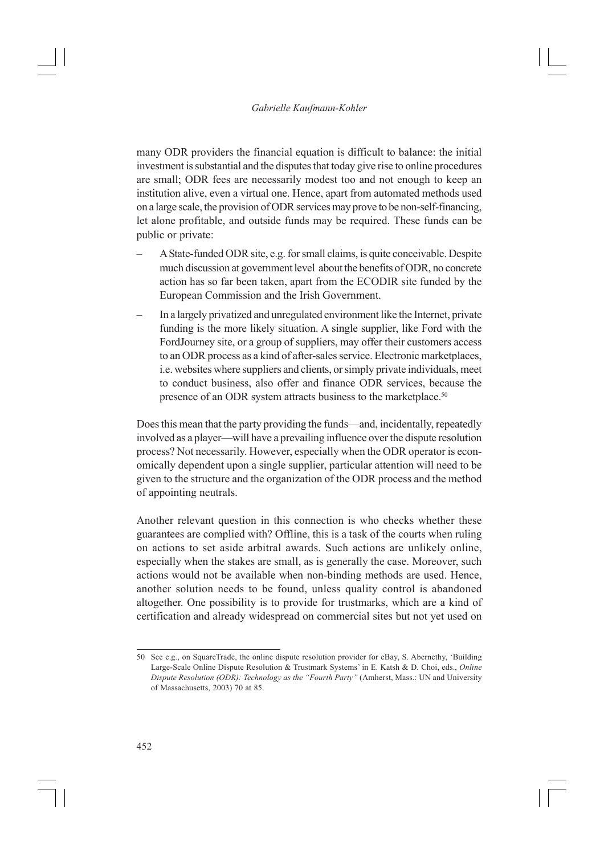many ODR providers the financial equation is difficult to balance: the initial investment is substantial and the disputes that today give rise to online procedures are small; ODR fees are necessarily modest too and not enough to keep an institution alive, even a virtual one. Hence, apart from automated methods used on a large scale, the provision of ODR services may prove to be non-self-financing, let alone profitable, and outside funds may be required. These funds can be public or private:

- A State-funded ODR site, e.g. for small claims, is quite conceivable. Despite much discussion at government level about the benefits of ODR, no concrete action has so far been taken, apart from the ECODIR site funded by the European Commission and the Irish Government.
- In a largely privatized and unregulated environment like the Internet, private funding is the more likely situation. A single supplier, like Ford with the FordJourney site, or a group of suppliers, may offer their customers access to an ODR process as a kind of after-sales service. Electronic marketplaces, i.e. websites where suppliers and clients, or simply private individuals, meet to conduct business, also offer and finance ODR services, because the presence of an ODR system attracts business to the marketplace.<sup>50</sup>

Does this mean that the party providing the funds—and, incidentally, repeatedly involved as a player—will have a prevailing influence over the dispute resolution process? Not necessarily. However, especially when the ODR operator is economically dependent upon a single supplier, particular attention will need to be given to the structure and the organization of the ODR process and the method of appointing neutrals.

Another relevant question in this connection is who checks whether these guarantees are complied with? Offline, this is a task of the courts when ruling on actions to set aside arbitral awards. Such actions are unlikely online, especially when the stakes are small, as is generally the case. Moreover, such actions would not be available when non-binding methods are used. Hence, another solution needs to be found, unless quality control is abandoned altogether. One possibility is to provide for trustmarks, which are a kind of certification and already widespread on commercial sites but not yet used on

<sup>50</sup> See e.g., on SquareTrade, the online dispute resolution provider for eBay, S. Abernethy, 'Building Large-Scale Online Dispute Resolution & Trustmark Systems' in E. Katsh & D. Choi, eds., *Online Dispute Resolution (ODR): Technology as the "Fourth Party"* (Amherst, Mass.: UN and University of Massachusetts, 2003) 70 at 85.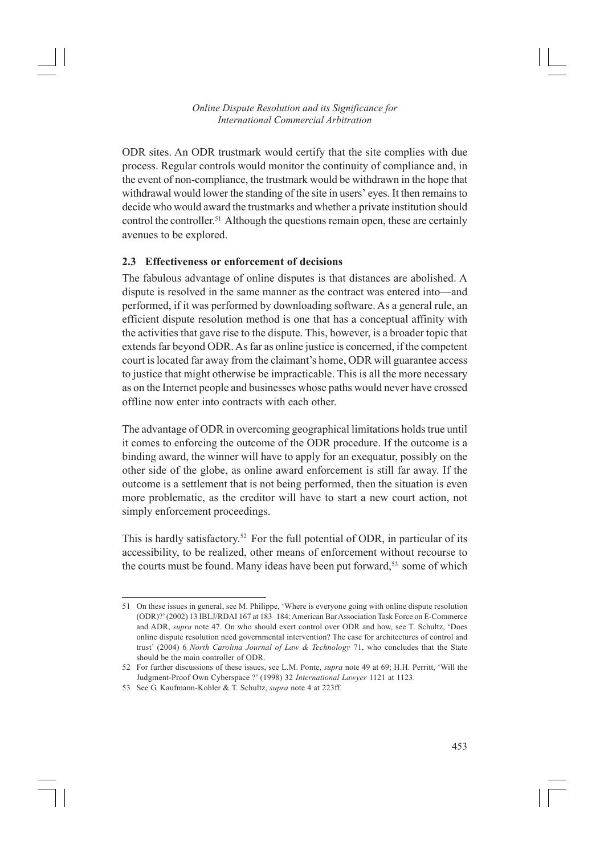ODR sites. An ODR trustmark would certify that the site complies with due process. Regular controls would monitor the continuity of compliance and, in the event of non-compliance, the trustmark would be withdrawn in the hope that withdrawal would lower the standing of the site in users' eyes. It then remains to decide who would award the trustmarks and whether a private institution should control the controller.51 Although the questions remain open, these are certainly avenues to be explored.

## **2.3 Effectiveness or enforcement of decisions**

The fabulous advantage of online disputes is that distances are abolished. A dispute is resolved in the same manner as the contract was entered into—and performed, if it was performed by downloading software. As a general rule, an efficient dispute resolution method is one that has a conceptual affinity with the activities that gave rise to the dispute. This, however, is a broader topic that extends far beyond ODR. As far as online justice is concerned, if the competent court is located far away from the claimant's home, ODR will guarantee access to justice that might otherwise be impracticable. This is all the more necessary as on the Internet people and businesses whose paths would never have crossed offline now enter into contracts with each other.

The advantage of ODR in overcoming geographical limitations holds true until it comes to enforcing the outcome of the ODR procedure. If the outcome is a binding award, the winner will have to apply for an exequatur, possibly on the other side of the globe, as online award enforcement is still far away. If the outcome is a settlement that is not being performed, then the situation is even more problematic, as the creditor will have to start a new court action, not simply enforcement proceedings.

This is hardly satisfactory.<sup>52</sup> For the full potential of ODR, in particular of its accessibility, to be realized, other means of enforcement without recourse to the courts must be found. Many ideas have been put forward,<sup>53</sup> some of which

<sup>51</sup> On these issues in general, see M. Philippe, 'Where is everyone going with online dispute resolution (ODR)?' (2002) 13 IBLJ/RDAI 167 at 183–184; American Bar Association Task Force on E-Commerce and ADR, *supra* note 47. On who should exert control over ODR and how, see T. Schultz, 'Does online dispute resolution need governmental intervention? The case for architectures of control and trust' (2004) 6 *North Carolina Journal of Law & Technology* 71, who concludes that the State should be the main controller of ODR.

<sup>52</sup> For further discussions of these issues, see L.M. Ponte, *supra* note 49 at 69; H.H. Perritt, 'Will the Judgment-Proof Own Cyberspace ?' (1998) 32 *International Lawyer* 1121 at 1123.

<sup>53</sup> See G. Kaufmann-Kohler & T. Schultz, *supra* note 4 at 223ff.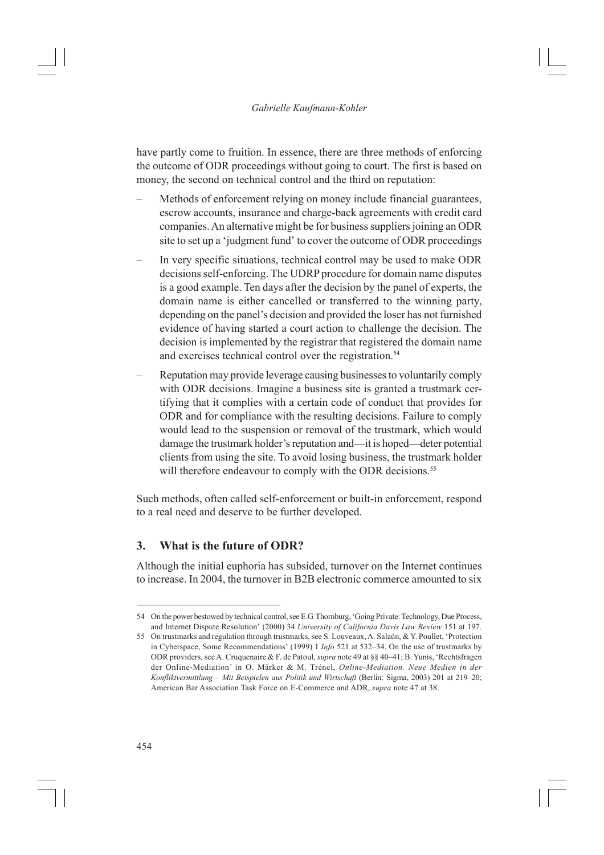have partly come to fruition. In essence, there are three methods of enforcing the outcome of ODR proceedings without going to court. The first is based on money, the second on technical control and the third on reputation:

- Methods of enforcement relying on money include financial guarantees, escrow accounts, insurance and charge-back agreements with credit card companies. An alternative might be for business suppliers joining an ODR site to set up a 'judgment fund' to cover the outcome of ODR proceedings
- In very specific situations, technical control may be used to make ODR decisions self-enforcing. The UDRP procedure for domain name disputes is a good example. Ten days after the decision by the panel of experts, the domain name is either cancelled or transferred to the winning party, depending on the panel's decision and provided the loser has not furnished evidence of having started a court action to challenge the decision. The decision is implemented by the registrar that registered the domain name and exercises technical control over the registration.<sup>54</sup>
- Reputation may provide leverage causing businesses to voluntarily comply with ODR decisions. Imagine a business site is granted a trustmark certifying that it complies with a certain code of conduct that provides for ODR and for compliance with the resulting decisions. Failure to comply would lead to the suspension or removal of the trustmark, which would damage the trustmark holder's reputation and—it is hoped—deter potential clients from using the site. To avoid losing business, the trustmark holder will therefore endeavour to comply with the ODR decisions.<sup>55</sup>

Such methods, often called self-enforcement or built-in enforcement, respond to a real need and deserve to be further developed.

# **3. What is the future of ODR?**

Although the initial euphoria has subsided, turnover on the Internet continues to increase. In 2004, the turnover in B2B electronic commerce amounted to six

<sup>54</sup> On the power bestowed by technical control, see E.G. Thornburg, 'Going Private: Technology, Due Process, and Internet Dispute Resolution' (2000) 34 *University of California Davis Law Review* 151 at 197.

<sup>55</sup> On trustmarks and regulation through trustmarks, see S. Louveaux, A. Salaün, & Y. Poullet, 'Protection in Cyberspace, Some Recommendations' (1999) 1 *Info* 521 at 532–34. On the use of trustmarks by ODR providers, see A. Cruquenaire & F. de Patoul, *supra* note 49 at §§ 40–41; B. Yunis, 'Rechtsfragen der Online-Mediation' in O. Märker & M. Trénel, *Online-Mediation. Neue Medien in der Konfliktvermittlung – Mit Beispielen aus Politik und Wirtschaft* (Berlin: Sigma, 2003) 201 at 219–20; American Bar Association Task Force on E-Commerce and ADR, *supra* note 47 at 38.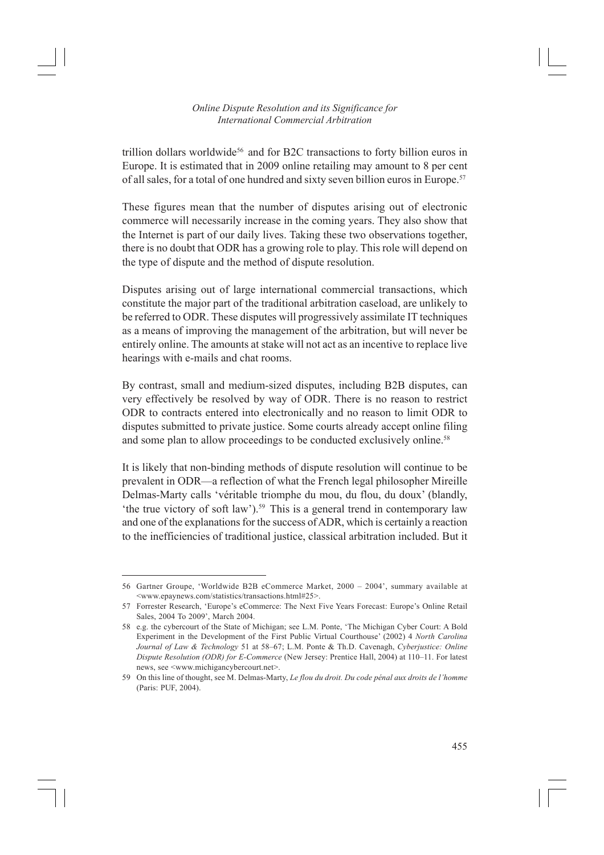trillion dollars worldwide<sup>56</sup> and for B2C transactions to forty billion euros in Europe. It is estimated that in 2009 online retailing may amount to 8 per cent of all sales, for a total of one hundred and sixty seven billion euros in Europe.<sup>57</sup>

These figures mean that the number of disputes arising out of electronic commerce will necessarily increase in the coming years. They also show that the Internet is part of our daily lives. Taking these two observations together, there is no doubt that ODR has a growing role to play. This role will depend on the type of dispute and the method of dispute resolution.

Disputes arising out of large international commercial transactions, which constitute the major part of the traditional arbitration caseload, are unlikely to be referred to ODR. These disputes will progressively assimilate IT techniques as a means of improving the management of the arbitration, but will never be entirely online. The amounts at stake will not act as an incentive to replace live hearings with e-mails and chat rooms.

By contrast, small and medium-sized disputes, including B2B disputes, can very effectively be resolved by way of ODR. There is no reason to restrict ODR to contracts entered into electronically and no reason to limit ODR to disputes submitted to private justice. Some courts already accept online filing and some plan to allow proceedings to be conducted exclusively online.<sup>58</sup>

It is likely that non-binding methods of dispute resolution will continue to be prevalent in ODR—a reflection of what the French legal philosopher Mireille Delmas-Marty calls 'véritable triomphe du mou, du flou, du doux' (blandly, 'the true victory of soft law').<sup>59</sup> This is a general trend in contemporary law and one of the explanations for the success of ADR, which is certainly a reaction to the inefficiencies of traditional justice, classical arbitration included. But it

<sup>56</sup> Gartner Groupe, 'Worldwide B2B eCommerce Market, 2000 – 2004', summary available at <www.epaynews.com/statistics/transactions.html#25>.

<sup>57</sup> Forrester Research, 'Europe's eCommerce: The Next Five Years Forecast: Europe's Online Retail Sales, 2004 To 2009', March 2004.

<sup>58</sup> e.g. the cybercourt of the State of Michigan; see L.M. Ponte, 'The Michigan Cyber Court: A Bold Experiment in the Development of the First Public Virtual Courthouse' (2002) 4 *North Carolina Journal of Law & Technology* 51 at 58–67; L.M. Ponte & Th.D. Cavenagh, *Cyberjustice: Online Dispute Resolution (ODR) for E-Commerce* (New Jersey: Prentice Hall, 2004) at 110–11. For latest news, see <www.michigancybercourt.net>.

<sup>59</sup> On this line of thought, see M. Delmas-Marty, *Le flou du droit. Du code pénal aux droits de l'homme* (Paris: PUF, 2004).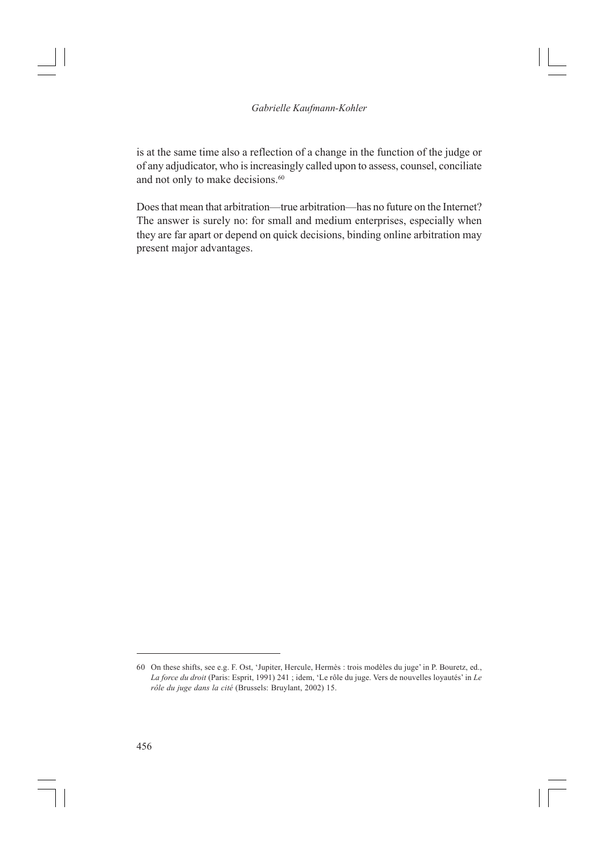is at the same time also a reflection of a change in the function of the judge or of any adjudicator, who is increasingly called upon to assess, counsel, conciliate and not only to make decisions.<sup>60</sup>

Does that mean that arbitration—true arbitration—has no future on the Internet? The answer is surely no: for small and medium enterprises, especially when they are far apart or depend on quick decisions, binding online arbitration may present major advantages.

<sup>60</sup> On these shifts, see e.g. F. Ost, 'Jupiter, Hercule, Hermès : trois modèles du juge' in P. Bouretz, ed., *La force du droit* (Paris: Esprit, 1991) 241 ; idem, 'Le rôle du juge. Vers de nouvelles loyautés' in *Le rôle du juge dans la cité* (Brussels: Bruylant, 2002) 15.